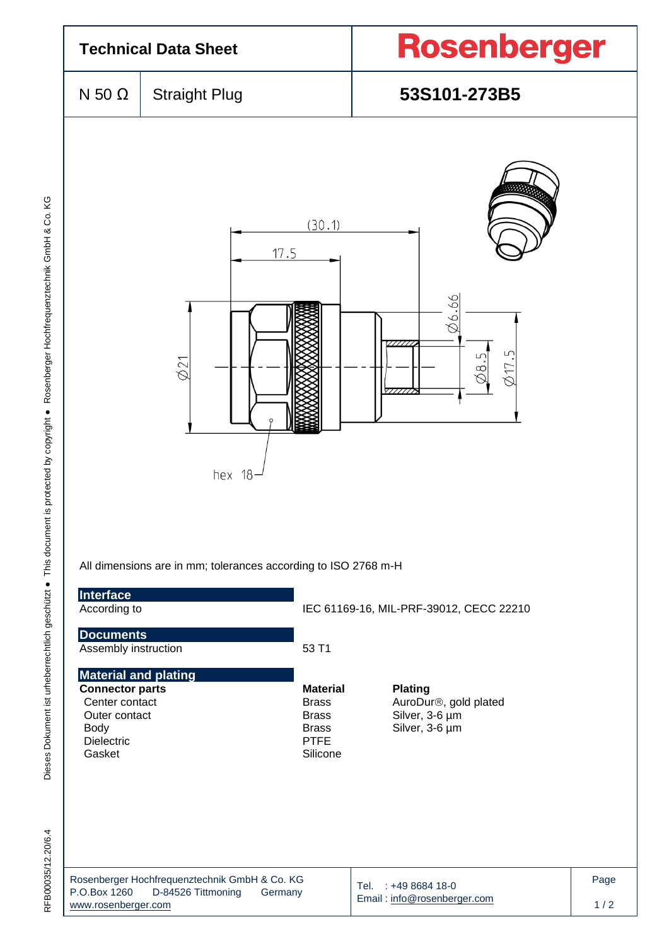